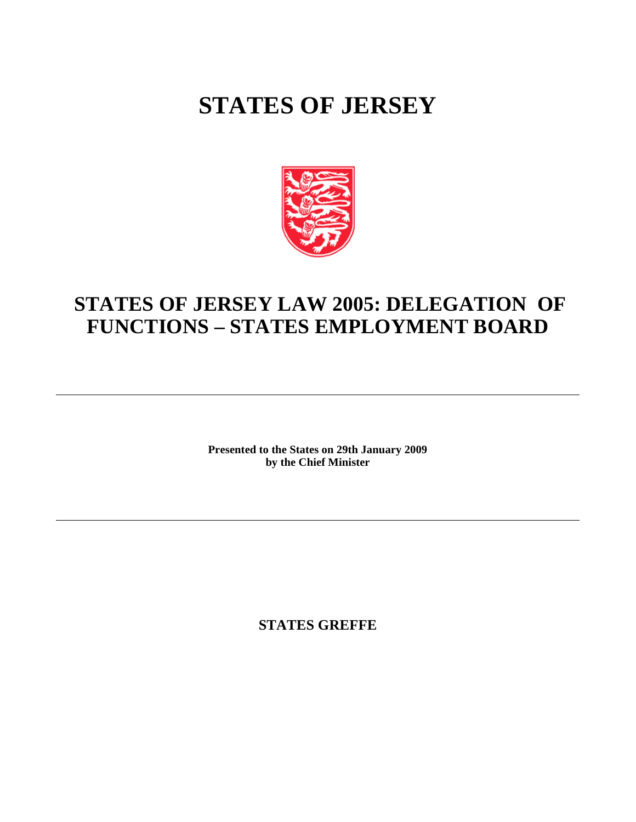## **STATES OF JERSEY**



## **STATES OF JERSEY LAW 2005: DELEGATION OF FUNCTIONS – STATES EMPLOYMENT BOARD**

**Presented to the States on 29th January 2009 by the Chief Minister**

**STATES GREFFE**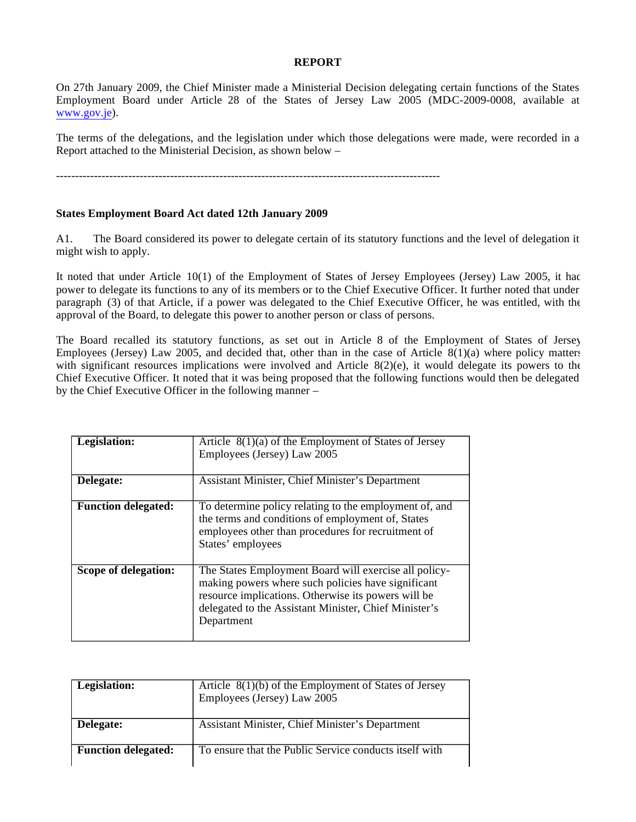## **REPORT**

On 27th January 2009, the Chief Minister made a Ministerial Decision delegating certain functions of the States Employment Board under Article 28 of the States of Jersey Law 2005 (MDC-2009-0008, available at [www.gov.je\)](www.gov.je).

The terms of the delegations, and the legislation under which those delegations were made, were recorded in a Report attached to the Ministerial Decision, as shown below –

-----------------------------------------------------------------------------------------------------

## **States Employment Board Act dated 12th January 2009**

A1. The Board considered its power to delegate certain of its statutory functions and the level of delegation it might wish to apply.

It noted that under Article 10(1) of the Employment of States of Jersey Employees (Jersey) Law 2005, it had power to delegate its functions to any of its members or to the Chief Executive Officer. It further noted that under paragraph (3) of that Article, if a power was delegated to the Chief Executive Officer, he was entitled, with the approval of the Board, to delegate this power to another person or class of persons.

The Board recalled its statutory functions, as set out in Article 8 of the Employment of States of Jersey Employees (Jersey) Law 2005, and decided that, other than in the case of Article 8(1)(a) where policy matters with significant resources implications were involved and Article 8(2)(e), it would delegate its powers to the Chief Executive Officer. It noted that it was being proposed that the following functions would then be delegated by the Chief Executive Officer in the following manner –

| Legislation:               | Article $8(1)(a)$ of the Employment of States of Jersey<br>Employees (Jersey) Law 2005                                                                                                                                                    |
|----------------------------|-------------------------------------------------------------------------------------------------------------------------------------------------------------------------------------------------------------------------------------------|
| Delegate:                  | Assistant Minister, Chief Minister's Department                                                                                                                                                                                           |
| <b>Function delegated:</b> | To determine policy relating to the employment of, and<br>the terms and conditions of employment of, States<br>employees other than procedures for recruitment of<br>States' employees                                                    |
| Scope of delegation:       | The States Employment Board will exercise all policy-<br>making powers where such policies have significant<br>resource implications. Otherwise its powers will be<br>delegated to the Assistant Minister, Chief Minister's<br>Department |

| Legislation:               | Article 8(1)(b) of the Employment of States of Jersey<br>Employees (Jersey) Law 2005 |
|----------------------------|--------------------------------------------------------------------------------------|
| Delegate:                  | Assistant Minister, Chief Minister's Department                                      |
| <b>Function delegated:</b> | To ensure that the Public Service conducts itself with                               |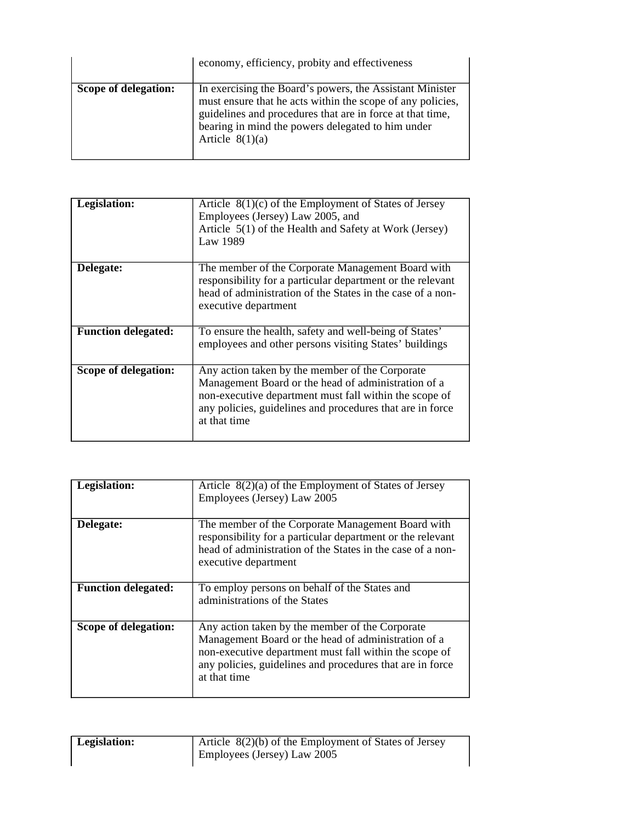|                      | economy, efficiency, probity and effectiveness                                                                                                                                                                                                                |
|----------------------|---------------------------------------------------------------------------------------------------------------------------------------------------------------------------------------------------------------------------------------------------------------|
| Scope of delegation: | In exercising the Board's powers, the Assistant Minister<br>must ensure that he acts within the scope of any policies,<br>guidelines and procedures that are in force at that time,<br>bearing in mind the powers delegated to him under<br>Article $8(1)(a)$ |

| Legislation:               | Article $8(1)(c)$ of the Employment of States of Jersey<br>Employees (Jersey) Law 2005, and<br>Article 5(1) of the Health and Safety at Work (Jersey)<br>Law 1989                                                                             |
|----------------------------|-----------------------------------------------------------------------------------------------------------------------------------------------------------------------------------------------------------------------------------------------|
| Delegate:                  | The member of the Corporate Management Board with<br>responsibility for a particular department or the relevant<br>head of administration of the States in the case of a non-<br>executive department                                         |
| <b>Function delegated:</b> | To ensure the health, safety and well-being of States'<br>employees and other persons visiting States' buildings                                                                                                                              |
| Scope of delegation:       | Any action taken by the member of the Corporate<br>Management Board or the head of administration of a<br>non-executive department must fall within the scope of<br>any policies, guidelines and procedures that are in force<br>at that time |

| Legislation:               | Article $8(2)(a)$ of the Employment of States of Jersey<br>Employees (Jersey) Law 2005                                                                                                                                                        |
|----------------------------|-----------------------------------------------------------------------------------------------------------------------------------------------------------------------------------------------------------------------------------------------|
| Delegate:                  | The member of the Corporate Management Board with<br>responsibility for a particular department or the relevant<br>head of administration of the States in the case of a non-<br>executive department                                         |
| <b>Function delegated:</b> | To employ persons on behalf of the States and<br>administrations of the States                                                                                                                                                                |
| Scope of delegation:       | Any action taken by the member of the Corporate<br>Management Board or the head of administration of a<br>non-executive department must fall within the scope of<br>any policies, guidelines and procedures that are in force<br>at that time |

| Legislation: | Article $8(2)(b)$ of the Employment of States of Jersey |
|--------------|---------------------------------------------------------|
|              | Employees (Jersey) Law 2005                             |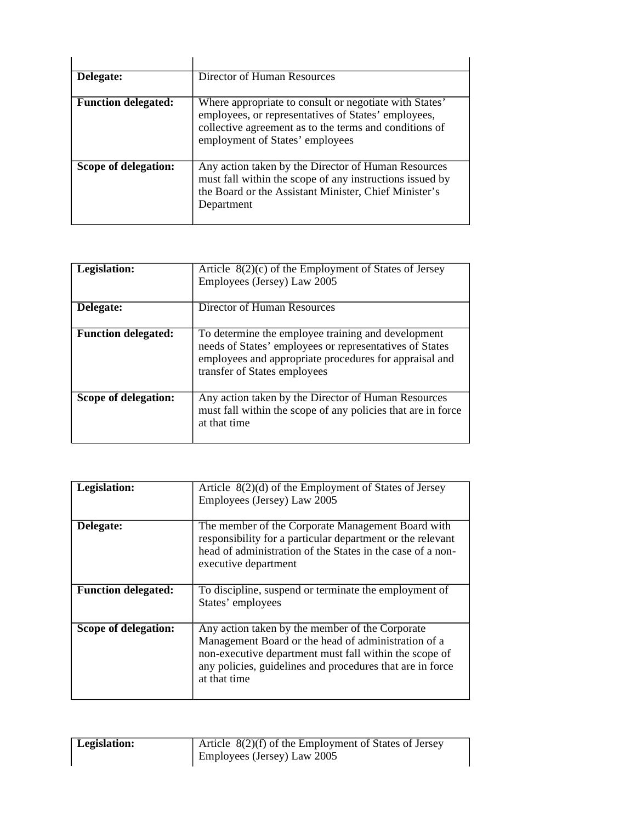| Delegate:                  | Director of Human Resources                                                                                                                                                                                |
|----------------------------|------------------------------------------------------------------------------------------------------------------------------------------------------------------------------------------------------------|
| <b>Function delegated:</b> | Where appropriate to consult or negotiate with States'<br>employees, or representatives of States' employees,<br>collective agreement as to the terms and conditions of<br>employment of States' employees |
| Scope of delegation:       | Any action taken by the Director of Human Resources<br>must fall within the scope of any instructions issued by<br>the Board or the Assistant Minister, Chief Minister's<br>Department                     |

| Legislation:               | Article $8(2)(c)$ of the Employment of States of Jersey<br>Employees (Jersey) Law 2005                                                                                                                  |
|----------------------------|---------------------------------------------------------------------------------------------------------------------------------------------------------------------------------------------------------|
| Delegate:                  | Director of Human Resources                                                                                                                                                                             |
| <b>Function delegated:</b> | To determine the employee training and development<br>needs of States' employees or representatives of States<br>employees and appropriate procedures for appraisal and<br>transfer of States employees |
| Scope of delegation:       | Any action taken by the Director of Human Resources<br>must fall within the scope of any policies that are in force<br>at that time                                                                     |

| Legislation:               | Article $8(2)(d)$ of the Employment of States of Jersey<br>Employees (Jersey) Law 2005                                                                                                                                                        |
|----------------------------|-----------------------------------------------------------------------------------------------------------------------------------------------------------------------------------------------------------------------------------------------|
| Delegate:                  | The member of the Corporate Management Board with<br>responsibility for a particular department or the relevant<br>head of administration of the States in the case of a non-<br>executive department                                         |
| <b>Function delegated:</b> | To discipline, suspend or terminate the employment of<br>States' employees                                                                                                                                                                    |
| Scope of delegation:       | Any action taken by the member of the Corporate<br>Management Board or the head of administration of a<br>non-executive department must fall within the scope of<br>any policies, guidelines and procedures that are in force<br>at that time |

| Legislation: | Article $8(2)(f)$ of the Employment of States of Jersey |
|--------------|---------------------------------------------------------|
|              | Employees (Jersey) Law 2005                             |